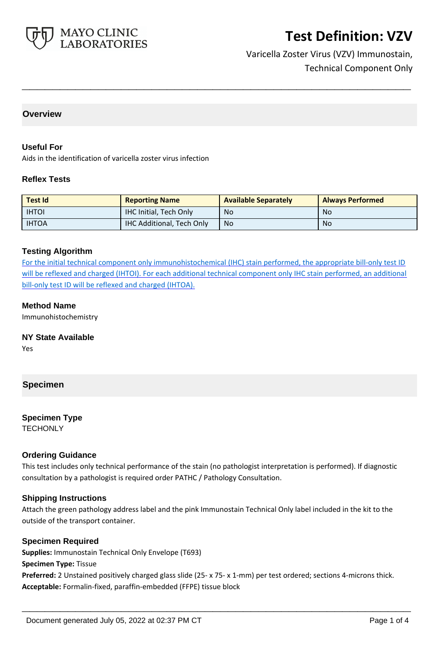

## Varicella Zoster Virus (VZV) Immunostain, Technical Component Only

#### **Overview**

#### **Useful For**

Aids in the identification of varicella zoster virus infection

#### **Reflex Tests**

| <b>Test Id</b> | <b>Reporting Name</b>            | <b>Available Separately</b> | <b>Always Performed</b> |
|----------------|----------------------------------|-----------------------------|-------------------------|
| <b>IHTOI</b>   | <b>IHC Initial, Tech Only</b>    | No                          | No                      |
| <b>IHTOA</b>   | <b>IHC Additional, Tech Only</b> | <b>No</b>                   | No                      |

**\_\_\_\_\_\_\_\_\_\_\_\_\_\_\_\_\_\_\_\_\_\_\_\_\_\_\_\_\_\_\_\_\_\_\_\_\_\_\_\_\_\_\_\_\_\_\_\_\_\_\_**

#### **Testing Algorithm**

For the initial technical component only immunohistochemical (IHC) stain performed, the appropriate bill-only test ID will be reflexed and charged (IHTOI). For each additional technical component only IHC stain performed, an additional bill-only test ID will be reflexed and charged (IHTOA).

#### **Method Name**

Immunohistochemistry

# **NY State Available**

Yes

#### **Specimen**

### **Specimen Type**

**TECHONLY** 

#### **Ordering Guidance**

This test includes only technical performance of the stain (no pathologist interpretation is performed). If diagnostic consultation by a pathologist is required order PATHC / Pathology Consultation.

#### **Shipping Instructions**

Attach the green pathology address label and the pink Immunostain Technical Only label included in the kit to the outside of the transport container.

#### **Specimen Required**

**Supplies:** Immunostain Technical Only Envelope (T693) **Specimen Type:** Tissue **Preferred:** 2 Unstained positively charged glass slide (25- x 75- x 1-mm) per test ordered; sections 4-microns thick. **Acceptable:** Formalin-fixed, paraffin-embedded (FFPE) tissue block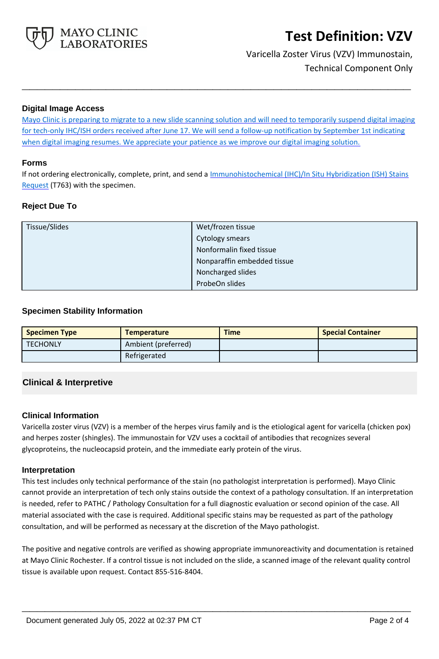

## Varicella Zoster Virus (VZV) Immunostain, Technical Component Only

#### **Digital Image Access**

Mayo Clinic is preparing to migrate to a new slide scanning solution and will need to temporarily suspend digital imaging for tech-only IHC/ISH orders received after June 17. We will send a follow-up notification by September 1st indicating when digital imaging resumes. We appreciate your patience as we improve our digital imaging solution.

**\_\_\_\_\_\_\_\_\_\_\_\_\_\_\_\_\_\_\_\_\_\_\_\_\_\_\_\_\_\_\_\_\_\_\_\_\_\_\_\_\_\_\_\_\_\_\_\_\_\_\_**

#### **Forms**

If not ordering electronically, complete, print, and send a *Immunohistochemical (IHC)/In Situ Hybridization (ISH) Stains* [Request](https://www.mayocliniclabs.com/it-mmfiles/ihc-and-ish-stain-request-form-mc0767-09a.pdf) (T763) with the specimen.

### **Reject Due To**

| Tissue/Slides | Wet/frozen tissue           |  |
|---------------|-----------------------------|--|
|               | <b>Cytology smears</b>      |  |
|               | Nonformalin fixed tissue    |  |
|               | Nonparaffin embedded tissue |  |
|               | Noncharged slides           |  |
|               | ProbeOn slides              |  |

#### **Specimen Stability Information**

| <b>Specimen Type</b> | <b>Temperature</b>  | <b>Time</b> | <b>Special Container</b> |
|----------------------|---------------------|-------------|--------------------------|
| <b>TECHONLY</b>      | Ambient (preferred) |             |                          |
|                      | Refrigerated        |             |                          |

### **Clinical & Interpretive**

#### **Clinical Information**

Varicella zoster virus (VZV) is a member of the herpes virus family and is the etiological agent for varicella (chicken pox) and herpes zoster (shingles). The immunostain for VZV uses a cocktail of antibodies that recognizes several glycoproteins, the nucleocapsid protein, and the immediate early protein of the virus.

#### **Interpretation**

This test includes only technical performance of the stain (no pathologist interpretation is performed). Mayo Clinic cannot provide an interpretation of tech only stains outside the context of a pathology consultation. If an interpretation is needed, refer to PATHC / Pathology Consultation for a full diagnostic evaluation or second opinion of the case. All material associated with the case is required. Additional specific stains may be requested as part of the pathology consultation, and will be performed as necessary at the discretion of the Mayo pathologist.

The positive and negative controls are verified as showing appropriate immunoreactivity and documentation is retained at Mayo Clinic Rochester. If a control tissue is not included on the slide, a scanned image of the relevant quality control tissue is available upon request. Contact 855-516-8404.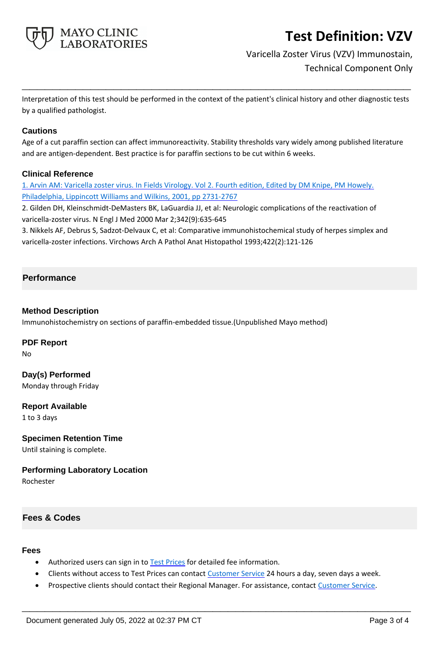

## Varicella Zoster Virus (VZV) Immunostain, Technical Component Only

Interpretation of this test should be performed in the context of the patient's clinical history and other diagnostic tests by a qualified pathologist.

**\_\_\_\_\_\_\_\_\_\_\_\_\_\_\_\_\_\_\_\_\_\_\_\_\_\_\_\_\_\_\_\_\_\_\_\_\_\_\_\_\_\_\_\_\_\_\_\_\_\_\_**

#### **Cautions**

Age of a cut paraffin section can affect immunoreactivity. Stability thresholds vary widely among published literature and are antigen-dependent. Best practice is for paraffin sections to be cut within 6 weeks.

#### **Clinical Reference**

1. Arvin AM: Varicella zoster virus. In Fields Virology. Vol 2. Fourth edition, Edited by DM Knipe, PM Howely. Philadelphia, Lippincott Williams and Wilkins, 2001, pp 2731-2767

2. Gilden DH, Kleinschmidt-DeMasters BK, LaGuardia JJ, et al: Neurologic complications of the reactivation of varicella-zoster virus. N Engl J Med 2000 Mar 2;342(9):635-645

3. Nikkels AF, Debrus S, Sadzot-Delvaux C, et al: Comparative immunohistochemical study of herpes simplex and varicella-zoster infections. Virchows Arch A Pathol Anat Histopathol 1993;422(2):121-126

### **Performance**

#### **Method Description**

Immunohistochemistry on sections of paraffin-embedded tissue.(Unpublished Mayo method)

#### **PDF Report**

No

## **Day(s) Performed**

Monday through Friday

### **Report Available**

1 to 3 days

#### **Specimen Retention Time**

Until staining is complete.

#### **Performing Laboratory Location**

Rochester

### **Fees & Codes**

#### **Fees**

- Authorized users can sign in to [Test Prices](https://www.mayocliniclabs.com/customer-service/client-price-lookup/index.html?unit_code=VZV) for detailed fee information.
- Clients without access to Test Prices can contact [Customer Service](http://www.mayocliniclabs.com/customer-service/contacts.html) 24 hours a day, seven days a week.
- **Prospective clients should contact their Regional Manager. For assistance, contact [Customer Service.](http://www.mayocliniclabs.com/customer-service/contacts.html)**